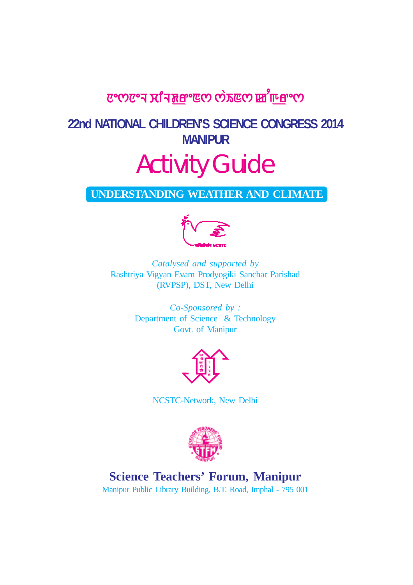## elector van in the corror of the corror of the corror of the corror of the corror of the corror of the corror o

## **22nd NATIONAL CHILDREN'S SCIENCE CONGRESS 2014 MANIPUR**

# Activity Guide

### **UNDERSTANDING WEATHER AND CLIMATE**



*Catalysed and supported by* Rashtriya Vigyan Evam Prodyogiki Sanchar Parishad (RVPSP), DST, New Delhi

> *Co-Sponsored by :* Department of Science & Technology Govt. of Manipur



NCSTC-Network, New Delhi



## **Science Teachers' Forum, Manipur**

Manipur Public Library Building, B.T. Road, Imphal - 795 001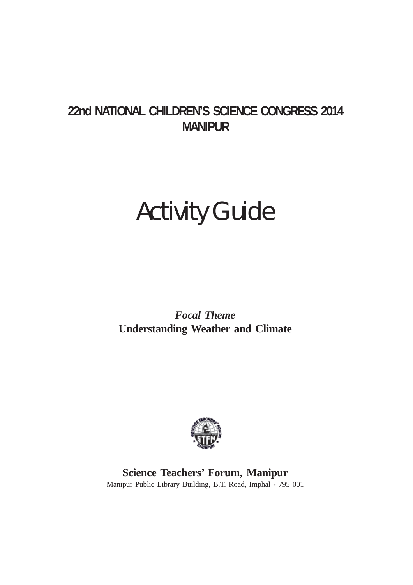## **22nd NATIONAL CHILDREN'S SCIENCE CONGRESS 2014 MANIPUR**

## Activity Guide

*Focal Theme* **Understanding Weather and Climate**



**Science Teachers' Forum, Manipur** Manipur Public Library Building, B.T. Road, Imphal - 795 001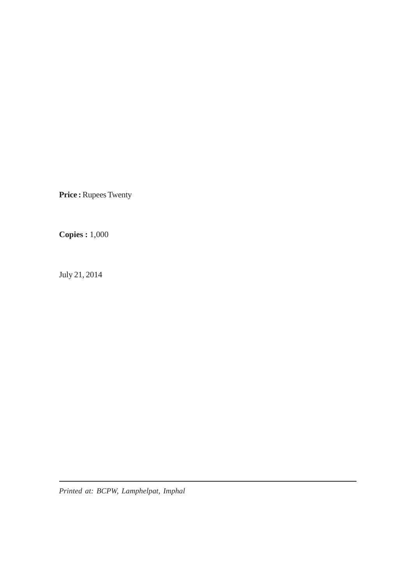**Price : Rupees Twenty** 

**Copies :** 1,000

July 21, 2014

*Printed at: BCPW, Lamphelpat, Imphal*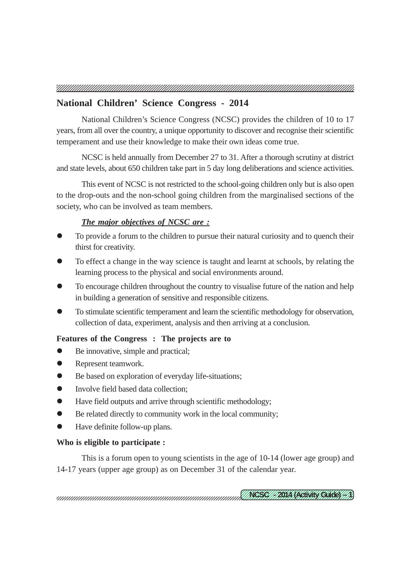#### **National Children' Science Congress - 2014**

National Children's Science Congress (NCSC) provides the children of 10 to 17 years, from all over the country, a unique opportunity to discover and recognise their scientific temperament and use their knowledge to make their own ideas come true.

NCSC is held annually from December 27 to 31. After a thorough scrutiny at district and state levels, about 650 children take part in 5 day long deliberations and science activities.

This event of NCSC is not restricted to the school-going children only but is also open to the drop-outs and the non-school going children from the marginalised sections of the society, who can be involved as team members.

#### *The major objectives of NCSC are :*

- To provide a forum to the children to pursue their natural curiosity and to quench their thirst for creativity.
- To effect a change in the way science is taught and learnt at schools, by relating the learning process to the physical and social environments around.
- To encourage children throughout the country to visualise future of the nation and help in building a generation of sensitive and responsible citizens.
- To stimulate scientific temperament and learn the scientific methodology for observation, collection of data, experiment, analysis and then arriving at a conclusion.

#### **Features of the Congress : The projects are to**

- Be innovative, simple and practical;
- Represent teamwork.
- Be based on exploration of everyday life-situations;
- Involve field based data collection:
- Have field outputs and arrive through scientific methodology;
- Be related directly to community work in the local community;
- Have definite follow-up plans.

#### **Who is eligible to participate :**

This is a forum open to young scientists in the age of 10-14 (lower age group) and 14-17 years (upper age group) as on December 31 of the calendar year.

12345678901234567890123456789012123456789012345678901234567890121234567890123456789 12345678901234567890123456789012123456789012345678901234567890121234567890123456789 <u>(INCSCI/IBACACAAN CAACA/ID</u>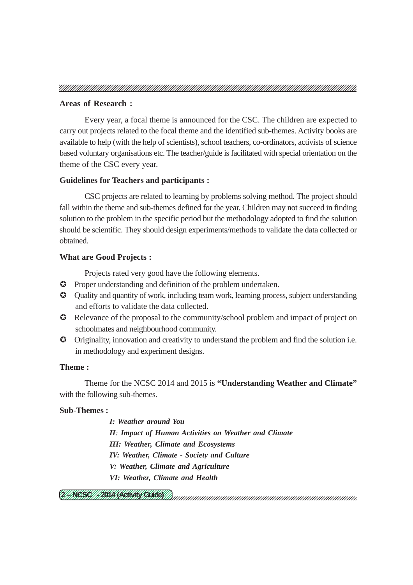#### **Areas of Research :**

Every year, a focal theme is announced for the CSC. The children are expected to carry out projects related to the focal theme and the identified sub-themes. Activity books are available to help (with the help of scientists), school teachers, co-ordinators, activists of science based voluntary organisations etc. The teacher/guide is facilitated with special orientation on the theme of the CSC every year.

#### **Guidelines for Teachers and participants :**

CSC projects are related to learning by problems solving method. The project should fall within the theme and sub-themes defined for the year. Children may not succeed in finding solution to the problem in the specific period but the methodology adopted to find the solution should be scientific. They should design experiments/methods to validate the data collected or obtained.

#### **What are Good Projects :**

Projects rated very good have the following elements.

- Proper understanding and definition of the problem undertaken.
- Quality and quantity of work, including team work, learning process, subject understanding and efforts to validate the data collected.
- Relevance of the proposal to the community/school problem and impact of project on schoolmates and neighbourhood community.
- Originality, innovation and creativity to understand the problem and find the solution i.e. in methodology and experiment designs.

#### **Theme :**

Theme for the NCSC 2014 and 2015 is **"Understanding Weather and Climate"** with the following sub-themes.

#### **Sub-Themes :**

*I: Weather around You II: Impact of Human Activities on Weather and Climate III: Weather, Climate and Ecosystems IV: Weather, Climate - Society and Culture V: Weather, Climate and Agriculture VI: Weather, Climate and Health*

12345678901234567890123456789012123456789012345678901234567890121234567890123456789 12345678901234567890123456789012123456789012345678901234567890121234567890123456789 <u>U ANCES I MBONA NACHARY CHACES M</u>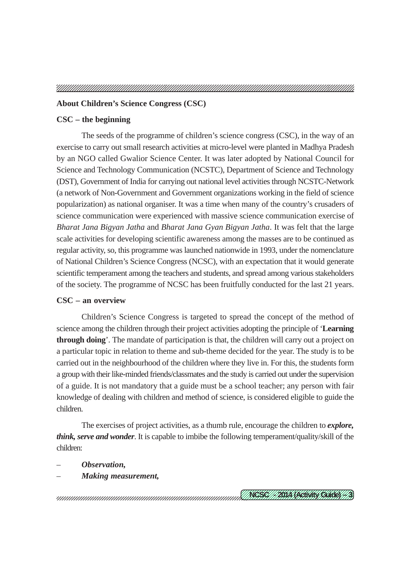#### **About Children's Science Congress (CSC)**

#### **CSC – the beginning**

The seeds of the programme of children's science congress (CSC), in the way of an exercise to carry out small research activities at micro-level were planted in Madhya Pradesh by an NGO called Gwalior Science Center. It was later adopted by National Council for Science and Technology Communication (NCSTC), Department of Science and Technology (DST), Government of India for carrying out national level activities through NCSTC-Network (a network of Non-Government and Government organizations working in the field of science popularization) as national organiser. It was a time when many of the country's crusaders of science communication were experienced with massive science communication exercise of *Bharat Jana Bigyan Jatha* and *Bharat Jana Gyan Bigyan Jatha*. It was felt that the large scale activities for developing scientific awareness among the masses are to be continued as regular activity, so, this programme was launched nationwide in 1993, under the nomenclature of National Children's Science Congress (NCSC), with an expectation that it would generate scientific temperament among the teachers and students, and spread among various stakeholders of the society. The programme of NCSC has been fruitfully conducted for the last 21 years.

#### **CSC – an overview**

Children's Science Congress is targeted to spread the concept of the method of science among the children through their project activities adopting the principle of '**Learning through doing**'. The mandate of participation is that, the children will carry out a project on a particular topic in relation to theme and sub-theme decided for the year. The study is to be carried out in the neighbourhood of the children where they live in. For this, the students form a group with their like-minded friends/classmates and the study is carried out under the supervision of a guide. It is not mandatory that a guide must be a school teacher; any person with fair knowledge of dealing with children and method of science, is considered eligible to guide the children.

The exercises of project activities, as a thumb rule, encourage the children to *explore, think, serve and wonder*. It is capable to imbibe the following temperament/quality/skill of the children:

- *Observation,*
- *Making measurement,*

12345678901234567890123456789012123456789012345678901234567890121234567890123456789 12345678901234567890123456789012123456789012345678901234567890121234567890123456789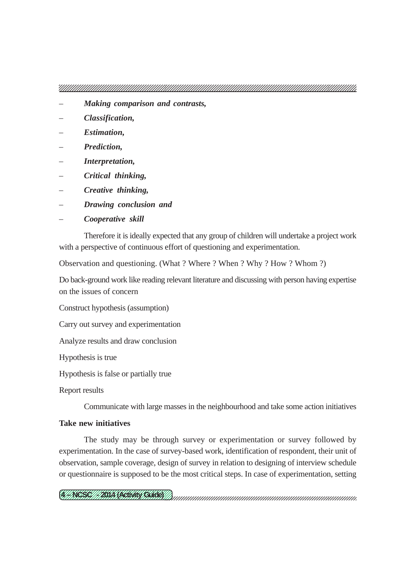- *Making comparison and contrasts,*
- *Classification,*
- *Estimation,*
- *Prediction,*
- *Interpretation,*
- *Critical thinking,*
- *Creative thinking,*
- *Drawing conclusion and*
- *Cooperative skill*

Therefore it is ideally expected that any group of children will undertake a project work with a perspective of continuous effort of questioning and experimentation.

Observation and questioning. (What ? Where ? When ? Why ? How ? Whom ?)

Do back-ground work like reading relevant literature and discussing with person having expertise on the issues of concern

Construct hypothesis (assumption)

Carry out survey and experimentation

Analyze results and draw conclusion

Hypothesis is true

Hypothesis is false or partially true

Report results

Communicate with large masses in the neighbourhood and take some action initiatives

#### **Take new initiatives**

The study may be through survey or experimentation or survey followed by experimentation. In the case of survey-based work, identification of respondent, their unit of observation, sample coverage, design of survey in relation to designing of interview schedule or questionnaire is supposed to be the most critical steps. In case of experimentation, setting

12345678901234567890123456789012123456789012345678901234567890121234567890123456789 12345678901234567890123456789012123456789012345678901234567890121234567890123456789 <u> U/WEBE///BINA NACHANN CHACK///</u>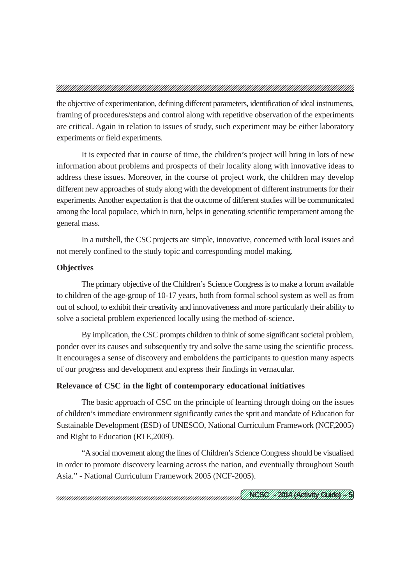the objective of experimentation, defining different parameters, identification of ideal instruments, framing of procedures/steps and control along with repetitive observation of the experiments are critical. Again in relation to issues of study, such experiment may be either laboratory experiments or field experiments.

It is expected that in course of time, the children's project will bring in lots of new information about problems and prospects of their locality along with innovative ideas to address these issues. Moreover, in the course of project work, the children may develop different new approaches of study along with the development of different instruments for their experiments. Another expectation is that the outcome of different studies will be communicated among the local populace, which in turn, helps in generating scientific temperament among the general mass.

In a nutshell, the CSC projects are simple, innovative, concerned with local issues and not merely confined to the study topic and corresponding model making.

#### **Objectives**

The primary objective of the Children's Science Congress is to make a forum available to children of the age-group of 10-17 years, both from formal school system as well as from out of school, to exhibit their creativity and innovativeness and more particularly their ability to solve a societal problem experienced locally using the method of-science.

By implication, the CSC prompts children to think of some significant societal problem, ponder over its causes and subsequently try and solve the same using the scientific process. It encourages a sense of discovery and emboldens the participants to question many aspects of our progress and development and express their findings in vernacular.

#### **Relevance of CSC in the light of contemporary educational initiatives**

The basic approach of CSC on the principle of learning through doing on the issues of children's immediate environment significantly caries the sprit and mandate of Education for Sustainable Development (ESD) of UNESCO, National Curriculum Framework (NCF,2005) and Right to Education (RTE,2009).

"A social movement along the lines of Children's Science Congress should be visualised in order to promote discovery learning across the nation, and eventually throughout South Asia." - National Curriculum Framework 2005 (NCF-2005).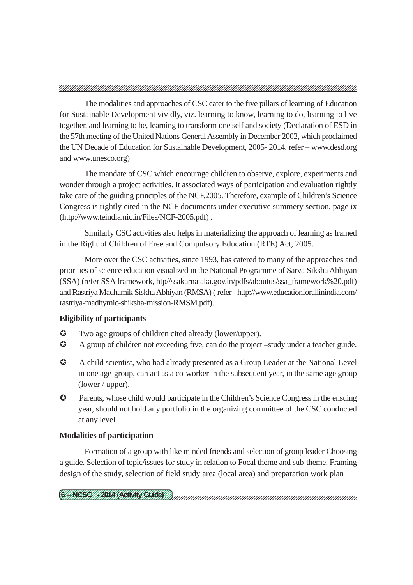The modalities and approaches of CSC cater to the five pillars of learning of Education for Sustainable Development vividly, viz. learning to know, learning to do, learning to live together, and learning to be, learning to transform one self and society (Declaration of ESD in the 57th meeting of the United Nations General Assembly in December 2002, which proclaimed the UN Decade of Education for Sustainable Development, 2005- 2014, refer – www.desd.org and www.unesco.org)

The mandate of CSC which encourage children to observe, explore, experiments and wonder through a project activities. It associated ways of participation and evaluation rightly take care of the guiding principles of the NCF,2005. Therefore, example of Children's Science Congress is rightly cited in the NCF documents under executive summery section, page ix (http://www.teindia.nic.in/Files/NCF-2005.pdf) .

Similarly CSC activities also helps in materializing the approach of learning as framed in the Right of Children of Free and Compulsory Education (RTE) Act, 2005.

More over the CSC activities, since 1993, has catered to many of the approaches and priorities of science education visualized in the National Programme of Sarva Siksha Abhiyan (SSA) (refer SSA framework, htp//ssakarnataka.gov.in/pdfs/aboutus/ssa\_framework%20.pdf) and Rastriya Madhamik Siskha Abhiyan (RMSA) ( refer - http://www.educationforallinindia.com/ rastriya-madhymic-shiksha-mission-RMSM.pdf).

#### **Eligibility of participants**

- Two age groups of children cited already (lower/upper).
- A group of children not exceeding five, can do the project –study under a teacher guide.
- A child scientist, who had already presented as a Group Leader at the National Level in one age-group, can act as a co-worker in the subsequent year, in the same age group (lower / upper).
- Parents, whose child would participate in the Children's Science Congress in the ensuing year, should not hold any portfolio in the organizing committee of the CSC conducted at any level.

#### **Modalities of participation**

Formation of a group with like minded friends and selection of group leader Choosing a guide. Selection of topic/issues for study in relation to Focal theme and sub-theme. Framing design of the study, selection of field study area (local area) and preparation work plan

12345678901234567890123456789012123456789012345678901234567890121234567890123456789 12345678901234567890123456789012123456789012345678901234567890121234567890123456789 <u>CHNESCH PONA NACHANN CHACH IN</u>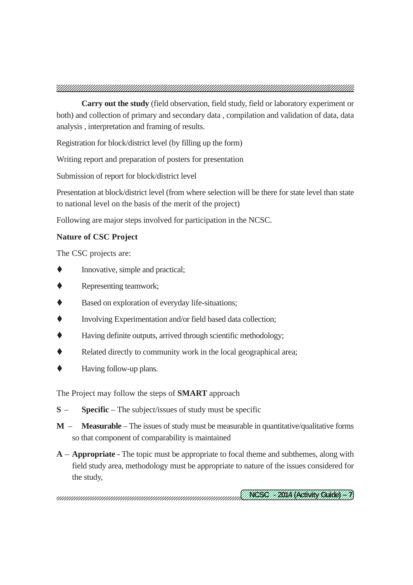**Carry out the study** (field observation, field study, field or laboratory experiment or both) and collection of primary and secondary data , compilation and validation of data, data analysis , interpretation and framing of results.

Registration for block/district level (by filling up the form)

Writing report and preparation of posters for presentation

Submission of report for block/district level

Presentation at block/district level (from where selection will be there for state level than state to national level on the basis of the merit of the project)

Following are major steps involved for participation in the NCSC.

#### **Nature of CSC Project**

The CSC projects are:

- Innovative, simple and practical;
- Representing teamwork;
- Based on exploration of everyday life-situations;
- Involving Experimentation and/or field based data collection;
- Having definite outputs, arrived through scientific methodology;
- Related directly to community work in the local geographical area;
- Having follow-up plans.

The Project may follow the steps of **SMART** approach

- **S Specific** The subject/issues of study must be specific
- **M Measurable** The issues of study must be measurable in quantitative/qualitative forms so that component of comparability is maintained
- **A Appropriate -** The topic must be appropriate to focal theme and subthemes, along with field study area, methodology must be appropriate to nature of the issues considered for the study,

12345678901234567890123456789012123456789012345678901234567890121234567890123456789 12345678901234567890123456789012123456789012345678901234567890121234567890123456789 <u>(INCSCI/IBACACAAN CAACA/ID)</u>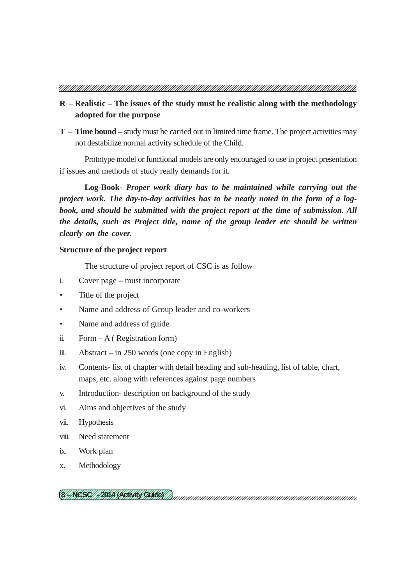- **R Realistic The issues of the study must be realistic along with the methodology adopted for the purpose**
- **T Time bound** study must be carried out in limited time frame. The project activities may not destabilize normal activity schedule of the Child.

Prototype model or functional models are only encouraged to use in project presentation if issues and methods of study really demands for it.

**Log-Book-** *Proper work diary has to be maintained while carrying out the project work. The day-to-day activities has to be neatly noted in the form of a logbook, and should be submitted with the project report at the time of submission. All the details, such as Project title, name of the group leader etc should be written clearly on the cover.*

#### **Structure of the project report**

The structure of project report of CSC is as follow

- i. Cover page must incorporate
- Title of the project
- Name and address of Group leader and co-workers
- Name and address of guide
- ii. Form  $-A$  (Registration form)
- iii. Abstract in 250 words (one copy in English)
- iv. Contents- list of chapter with detail heading and sub-heading, list of table, chart, maps, etc. along with references against page numbers
- v. Introduction- description on background of the study
- vi. Aims and objectives of the study
- vii. Hypothesis
- viii. Need statement
- ix. Work plan
- x. Methodology

12345678901234567890123456789012123456789012345678901234567890121234567890123456789 12345678901234567890123456789012123456789012345678901234567890121234567890123456789 <u> CHRESCH PONA NACHANN CHACH IN</u>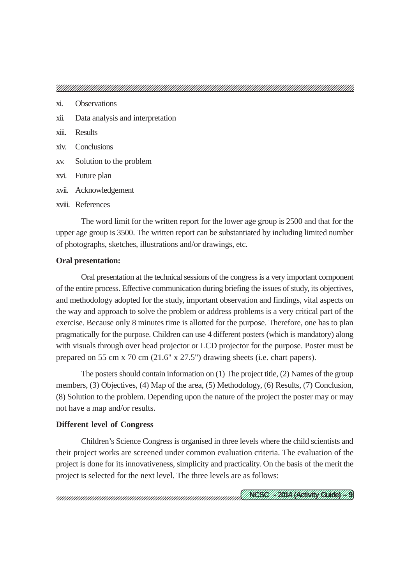- xi. Observations
- xii. Data analysis and interpretation
- xiii. Results
- xiv. Conclusions
- xv. Solution to the problem
- xvi. Future plan
- xvii. Acknowledgement
- xviii. References

The word limit for the written report for the lower age group is 2500 and that for the upper age group is 3500. The written report can be substantiated by including limited number of photographs, sketches, illustrations and/or drawings, etc.

#### **Oral presentation:**

Oral presentation at the technical sessions of the congress is a very important component of the entire process. Effective communication during briefing the issues of study, its objectives, and methodology adopted for the study, important observation and findings, vital aspects on the way and approach to solve the problem or address problems is a very critical part of the exercise. Because only 8 minutes time is allotted for the purpose. Therefore, one has to plan pragmatically for the purpose. Children can use 4 different posters (which is mandatory) along with visuals through over head projector or LCD projector for the purpose. Poster must be prepared on 55 cm x 70 cm (21.6" x 27.5") drawing sheets (i.e. chart papers).

The posters should contain information on (1) The project title, (2) Names of the group members, (3) Objectives, (4) Map of the area, (5) Methodology, (6) Results, (7) Conclusion, (8) Solution to the problem. Depending upon the nature of the project the poster may or may not have a map and/or results.

#### **Different level of Congress**

Children's Science Congress is organised in three levels where the child scientists and their project works are screened under common evaluation criteria. The evaluation of the project is done for its innovativeness, simplicity and practicality. On the basis of the merit the project is selected for the next level. The three levels are as follows: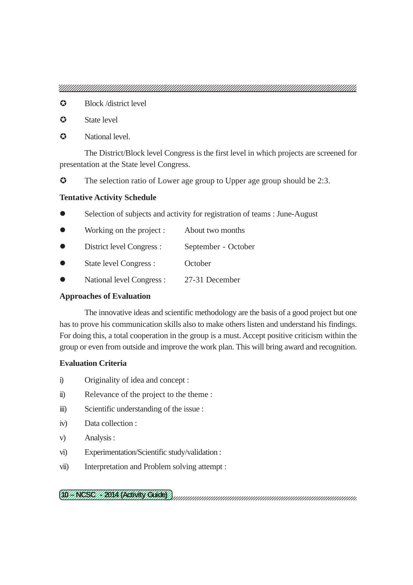- **C** Block /district level
- **C** State level
- $\Omega$  National level.

The District/Block level Congress is the first level in which projects are screened for presentation at the State level Congress.

The selection ratio of Lower age group to Upper age group should be 2:3.

#### **Tentative Activity Schedule**

- Selection of subjects and activity for registration of teams : June-August
- Working on the project : About two months
- District level Congress : September October
- State level Congress : October
- National level Congress : 27-31 December

#### **Approaches of Evaluation**

The innovative ideas and scientific methodology are the basis of a good project but one has to prove his communication skills also to make others listen and understand his findings. For doing this, a total cooperation in the group is a must. Accept positive criticism within the group or even from outside and improve the work plan. This will bring award and recognition.

#### **Evaluation Criteria**

- i) Originality of idea and concept :
- ii) Relevance of the project to the theme :
- iii) Scientific understanding of the issue :
- iv) Data collection :
- v) Analysis :
- vi) Experimentation/Scientific study/validation :
- vii) Interpretation and Problem solving attempt :

12345678901234567890123456789012123456789012345678901234567890121234567890123456789 12345678901234567890123456789012123456789012345678901234567890121234567890123456789 (TO//NGSC///2014/REWAY/GUIDE)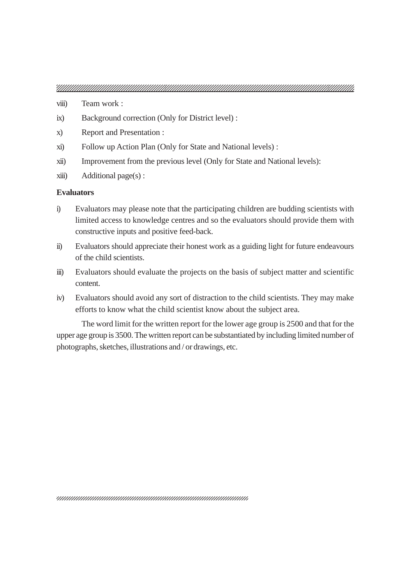- viii) Team work :
- ix) Background correction (Only for District level) :
- x) Report and Presentation :
- xi) Follow up Action Plan (Only for State and National levels) :
- xii) Improvement from the previous level (Only for State and National levels):
- $xiii)$  Additional page(s):

#### **Evaluators**

- i) Evaluators may please note that the participating children are budding scientists with limited access to knowledge centres and so the evaluators should provide them with constructive inputs and positive feed-back.
- ii) Evaluators should appreciate their honest work as a guiding light for future endeavours of the child scientists.
- iii) Evaluators should evaluate the projects on the basis of subject matter and scientific content.
- iv) Evaluators should avoid any sort of distraction to the child scientists. They may make efforts to know what the child scientist know about the subject area.

The word limit for the written report for the lower age group is 2500 and that for the upper age group is 3500. The written report can be substantiated by including limited number of photographs, sketches, illustrations and / or drawings, etc.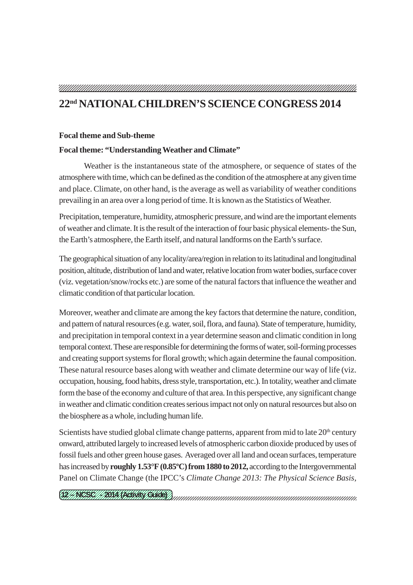### **22nd NATIONAL CHILDREN'S SCIENCE CONGRESS 2014**

#### **Focal theme and Sub-theme**

#### **Focal theme: "Understanding Weather and Climate"**

Weather is the instantaneous state of the atmosphere, or sequence of states of the atmosphere with time, which can be defined as the condition of the atmosphere at any given time and place. Climate, on other hand, is the average as well as variability of weather conditions prevailing in an area over a long period of time. It is known as the Statistics of Weather.

Precipitation, temperature, humidity, atmospheric pressure, and wind are the important elements of weather and climate. It is the result of the interaction of four basic physical elements- the Sun, the Earth's atmosphere, the Earth itself, and natural landforms on the Earth's surface.

The geographical situation of any locality/area/region in relation to its latitudinal and longitudinal position, altitude, distribution of land and water, relative location from water bodies, surface cover (viz. vegetation/snow/rocks etc.) are some of the natural factors that influence the weather and climatic condition of that particular location.

Moreover, weather and climate are among the key factors that determine the nature, condition, and pattern of natural resources (e.g. water, soil, flora, and fauna). State of temperature, humidity, and precipitation in temporal context in a year determine season and climatic condition in long temporal context. These are responsible for determining the forms of water, soil-forming processes and creating support systems for floral growth; which again determine the faunal composition. These natural resource bases along with weather and climate determine our way of life (viz. occupation, housing, food habits, dress style, transportation, etc.). In totality, weather and climate form the base of the economy and culture of that area. In this perspective, any significant change in weather and climatic condition creates serious impact not only on natural resources but also on the biosphere as a whole, including human life.

Scientists have studied global climate change patterns, apparent from mid to late  $20<sup>th</sup>$  century onward, attributed largely to increased levels of atmospheric carbon dioxide produced by uses of fossil fuels and other green house gases. Averaged over all land and ocean surfaces, temperature has increased by **roughly 1.53°F (0.85ºC) from 1880 to 2012,** according to the Intergovernmental Panel on Climate Change (the IPCC's *Climate Change 2013: The Physical Science Basis,*

12345678901234567890123456789012123456789012345678901234567890121234567890123456789 12345678901234567890123456789012123456789012345678901234567890121234567890123456789 <u>(TU//NGSC///2014/REWAY/GUIOF)</u>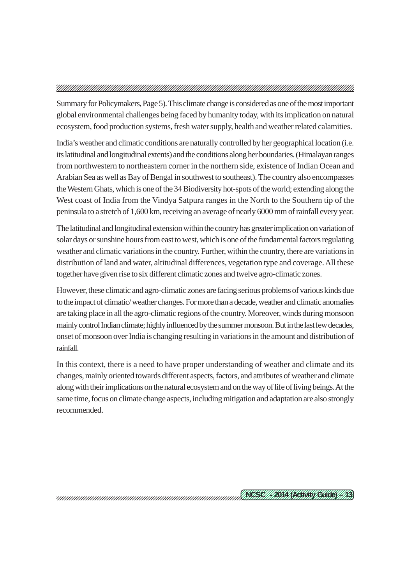Summary for Policymakers, Page 5). This climate change is considered as one of the most important global environmental challenges being faced by humanity today, with its implication on natural ecosystem, food production systems, fresh water supply, health and weather related calamities.

India's weather and climatic conditions are naturally controlled by her geographical location (i.e. its latitudinal and longitudinal extents) and the conditions along her boundaries. (Himalayan ranges from northwestern to northeastern corner in the northern side, existence of Indian Ocean and Arabian Sea as well as Bay of Bengal in southwest to southeast). The country also encompasses the Western Ghats, which is one of the 34 Biodiversity hot-spots of the world; extending along the West coast of India from the Vindya Satpura ranges in the North to the Southern tip of the peninsula to a stretch of 1,600 km, receiving an average of nearly 6000 mm of rainfall every year.

The latitudinal and longitudinal extension within the country has greater implication on variation of solar days or sunshine hours from east to west, which is one of the fundamental factors regulating weather and climatic variations in the country. Further, within the country, there are variations in distribution of land and water, altitudinal differences, vegetation type and coverage. All these together have given rise to six different climatic zones and twelve agro-climatic zones.

However, these climatic and agro-climatic zones are facing serious problems of various kinds due to the impact of climatic/ weather changes. For more than a decade, weather and climatic anomalies are taking place in all the agro-climatic regions of the country. Moreover, winds during monsoon mainly control Indian climate; highly influenced by the summer monsoon. But in the last few decades, onset of monsoon over India is changing resulting in variations in the amount and distribution of rainfall.

In this context, there is a need to have proper understanding of weather and climate and its changes, mainly oriented towards different aspects, factors, and attributes of weather and climate along with their implications on the natural ecosystem and on the way of life of living beings. At the same time, focus on climate change aspects, including mitigation and adaptation are also strongly recommended.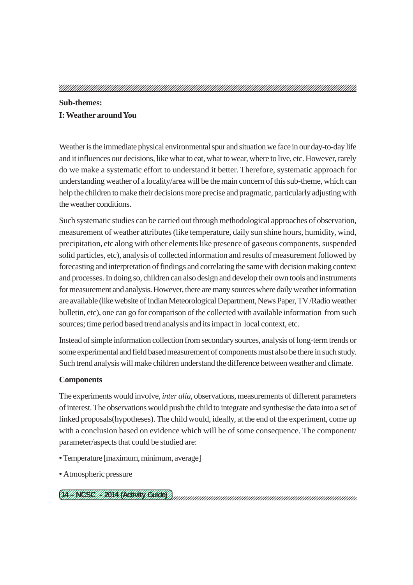#### **Sub-themes:**

#### **I: Weather around You**

Weather is the immediate physical environmental spur and situation we face in our day-to-day life and it influences our decisions, like what to eat, what to wear, where to live, etc. However, rarely do we make a systematic effort to understand it better. Therefore, systematic approach for understanding weather of a locality/area will be the main concern of this sub-theme, which can help the children to make their decisions more precise and pragmatic, particularly adjusting with the weather conditions.

Such systematic studies can be carried out through methodological approaches of observation, measurement of weather attributes (like temperature, daily sun shine hours, humidity, wind, precipitation, etc along with other elements like presence of gaseous components, suspended solid particles, etc), analysis of collected information and results of measurement followed by forecasting and interpretation of findings and correlating the same with decision making context and processes. In doing so, children can also design and develop their own tools and instruments for measurement and analysis. However, there are many sources where daily weather information are available (like website of Indian Meteorological Department, News Paper, TV /Radio weather bulletin, etc), one can go for comparison of the collected with available information from such sources; time period based trend analysis and its impact in local context, etc.

Instead of simple information collection from secondary sources, analysis of long-term trends or some experimental and field based measurement of components must also be there in such study. Such trend analysis will make children understand the difference between weather and climate.

#### **Components**

The experiments would involve, *inter alia*, observations, measurements of different parameters of interest. The observations would push the child to integrate and synthesise the data into a set of linked proposals(hypotheses). The child would, ideally, at the end of the experiment, come up with a conclusion based on evidence which will be of some consequence. The component/ parameter/aspects that could be studied are:

- Temperature [maximum, minimum, average]
- Atmospheric pressure

<u>(TA//NEZE///2014/REWAY/CWOOY)</u>

12345678901234567890123456789012123456789012345678901234567890121234567890123456789 12345678901234567890123456789012123456789012345678901234567890121234567890123456789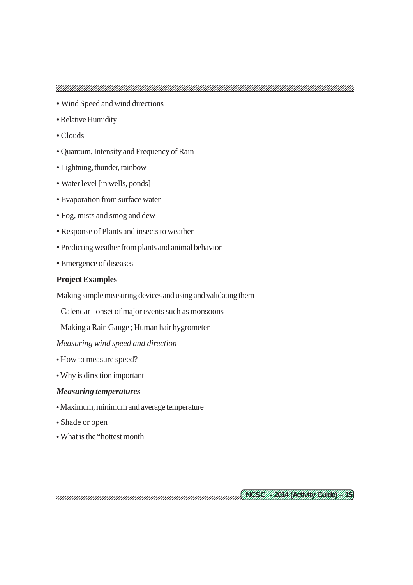- Wind Speed and wind directions
- Relative Humidity
- Clouds
- Quantum, Intensity and Frequency of Rain
- Lightning, thunder, rainbow
- Water level [in wells, ponds]
- Evaporation from surface water
- Fog, mists and smog and dew
- Response of Plants and insects to weather
- Predicting weather from plants and animal behavior
- Emergence of diseases

#### **Project Examples**

Making simple measuring devices and using and validating them

- Calendar onset of major events such as monsoons
- Making a Rain Gauge ; Human hair hygrometer

*Measuring wind speed and direction*

- How to measure speed?
- Why is direction important

#### *Measuring temperatures*

- Maximum, minimum and average temperature
- Shade or open
- What is the "hottest month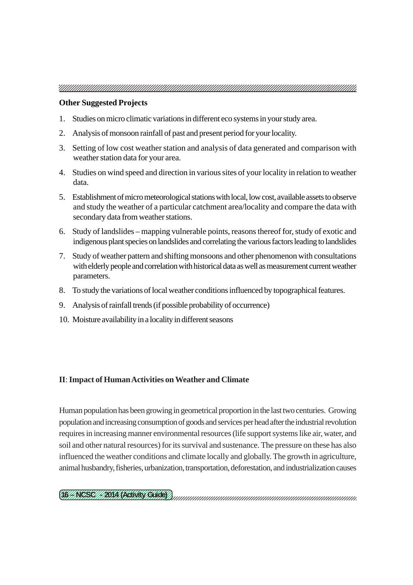#### **Other Suggested Projects**

- 1. Studies on micro climatic variations in different eco systems in your study area.
- 2. Analysis of monsoon rainfall of past and present period for your locality.
- 3. Setting of low cost weather station and analysis of data generated and comparison with weather station data for your area.
- 4. Studies on wind speed and direction in various sites of your locality in relation to weather data.
- 5. Establishment of micro meteorological stations with local, low cost, available assets to observe and study the weather of a particular catchment area/locality and compare the data with secondary data from weather stations.
- 6. Study of landslides mapping vulnerable points, reasons thereof for, study of exotic and indigenous plant species on landslides and correlating the various factors leading to landslides
- 7. Study of weather pattern and shifting monsoons and other phenomenon with consultations with elderly people and correlation with historical data as well as measurement current weather parameters.
- 8. To study the variations of local weather conditions influenced by topographical features.
- 9. Analysis of rainfall trends (if possible probability of occurrence)
- 10. Moisture availability in a locality in different seasons

#### **II**: **Impact of Human Activities on Weather and Climate**

Human population has been growing in geometrical proportion in the last two centuries. Growing population and increasing consumption of goods and services per head after the industrial revolution requires in increasing manner environmental resources (life support systems like air, water, and soil and other natural resources) for its survival and sustenance. The pressure on these has also influenced the weather conditions and climate locally and globally. The growth in agriculture, animal husbandry, fisheries, urbanization, transportation, deforestation, and industrialization causes

#### <u>(HANGSHI) | HAN NACHAR (SURCY)</u>

12345678901234567890123456789012123456789012345678901234567890121234567890123456789 12345678901234567890123456789012123456789012345678901234567890121234567890123456789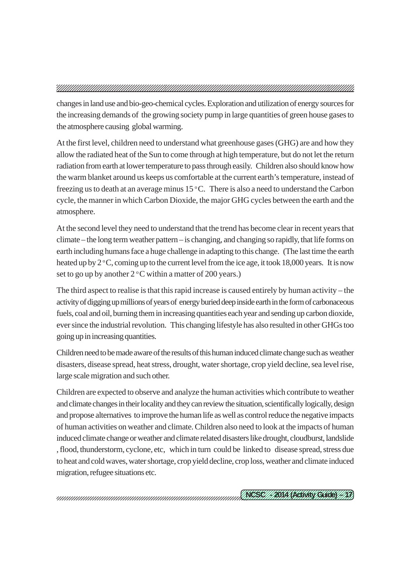changes in land use and bio-geo-chemical cycles. Exploration and utilization of energy sources for the increasing demands of the growing society pump in large quantities of green house gases to the atmosphere causing global warming.

At the first level, children need to understand what greenhouse gases (GHG) are and how they allow the radiated heat of the Sun to come through at high temperature, but do not let the return radiation from earth at lower temperature to pass through easily. Children also should know how the warm blanket around us keeps us comfortable at the current earth's temperature, instead of freezing us to death at an average minus  $15^{\circ}$ C. There is also a need to understand the Carbon cycle, the manner in which Carbon Dioxide, the major GHG cycles between the earth and the atmosphere.

At the second level they need to understand that the trend has become clear in recent years that climate – the long term weather pattern – is changing, and changing so rapidly, that life forms on earth including humans face a huge challenge in adapting to this change. (The last time the earth heated up by  $2^{\circ}$ C, coming up to the current level from the ice age, it took 18,000 years. It is now set to go up by another  $2^{\circ}$ C within a matter of 200 years.)

The third aspect to realise is that this rapid increase is caused entirely by human activity – the activity of digging up millions of years of energy buried deep inside earth in the form of carbonaceous fuels, coal and oil, burning them in increasing quantities each year and sending up carbon dioxide, ever since the industrial revolution. This changing lifestyle has also resulted in other GHGs too going up in increasing quantities.

Children need to be made aware of the results of this human induced climate change such as weather disasters, disease spread, heat stress, drought, water shortage, crop yield decline, sea level rise, large scale migration and such other.

Children are expected to observe and analyze the human activities which contribute to weather and climate changes in their locality and they can review the situation, scientifically logically, design and propose alternatives to improve the human life as well as control reduce the negative impacts of human activities on weather and climate. Children also need to look at the impacts of human induced climate change or weather and climate related disasters like drought, cloudburst, landslide , flood, thunderstorm, cyclone, etc, which in turn could be linked to disease spread, stress due to heat and cold waves, water shortage, crop yield decline, crop loss, weather and climate induced migration, refugee situations etc.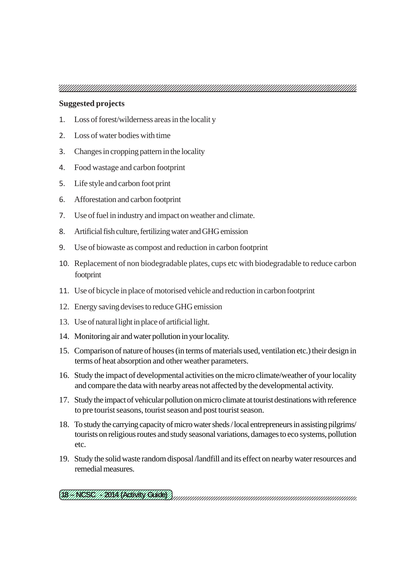#### **Suggested projects**

- 1. Loss of forest/wilderness areas in the localit y
- 2. Loss of water bodies with time
- 3. Changes in cropping pattern in the locality
- 4. Food wastage and carbon footprint
- 5. Life style and carbon foot print
- 6. Afforestation and carbon footprint
- 7. Use of fuel in industry and impact on weather and climate.
- 8. Artificial fish culture, fertilizing water and GHG emission
- 9. Use of biowaste as compost and reduction in carbon footprint
- 10. Replacement of non biodegradable plates, cups etc with biodegradable to reduce carbon footprint
- 11. Use of bicycle in place of motorised vehicle and reduction in carbonfootprint
- 12. Energy saving devises to reduce GHG emission
- 13. Use of natural light in place of artificial light.
- 14. Monitoring air and water pollution in your locality.
- 15. Comparison of nature of houses (in terms of materials used, ventilation etc.) their design in terms of heat absorption and other weather parameters.
- 16. Study the impact of developmental activities on the micro climate/weather of your locality and compare the data with nearby areas not affected by the developmental activity.
- 17. Study the impact of vehicular pollution on micro climate at tourist destinations with reference to pre tourist seasons, tourist season and post tourist season.
- 18. To study the carrying capacity of micro water sheds / local entrepreneurs in assisting pilgrims/ tourists on religious routes and study seasonal variations, damages to eco systems, pollution etc.
- 19. Study the solid waste random disposal /landfill and its effect on nearby water resources and remedial measures.

12345678901234567890123456789012123456789012345678901234567890121234567890123456789 12345678901234567890123456789012123456789012345678901234567890121234567890123456789 (TE//NG/SC///2014/REWAY/GUIDE)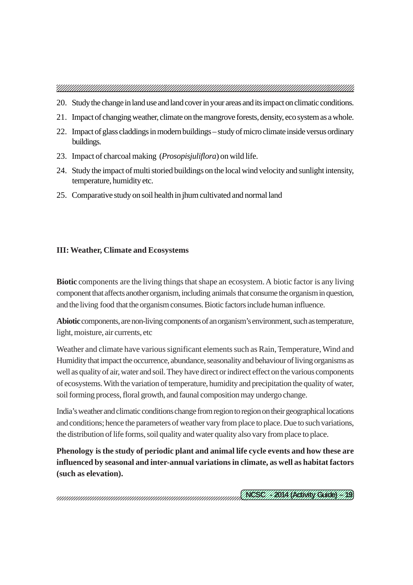- 20. Study the change in land use and land cover in your areas and its impact on climatic conditions.
- 21. Impact of changing weather, climate on the mangrove forests, density, eco system as a whole.
- 22. Impact of glass claddings in modern buildings study of micro climate inside versus ordinary buildings.
- 23. Impact of charcoal making (*Prosopisjuliflora*) on wild life.
- 24. Study the impact of multi storied buildings on the local wind velocity and sunlight intensity, temperature, humidity etc.
- 25. Comparative study on soil health in jhum cultivated and normal land

#### **III: Weather, Climate and Ecosystems**

**Biotic** components are the living things that shape an ecosystem. A biotic factor is any living component that affects another organism, including animals that consume the organism in question, and the living food that the organism consumes. Biotic factors include human influence.

**Abiotic** components, are non-living components of an organism's environment, such as temperature, light, moisture, air currents, etc

Weather and climate have various significant elements such as Rain, Temperature, Wind and Humidity that impact the occurrence, abundance, seasonality and behaviour of living organisms as well as quality of air, water and soil. They have direct or indirect effect on the various components of ecosystems. With the variation of temperature, humidity and precipitation the quality of water, soil forming process, floral growth, and faunal composition may undergo change.

India's weather and climatic conditions change from region to region on their geographical locations and conditions; hence the parameters of weather vary from place to place. Due to such variations, the distribution of life forms, soil quality and water quality also vary from place to place.

**Phenology is the study of periodic plant and animal life cycle events and how these are influenced by seasonal and inter-annual variations in climate, as well as habitat factors (such as elevation).**

12345678901234567890123456789012123456789012345678901234567890121234567890123456789 12345678901234567890123456789012123456789012345678901234567890121234567890123456789 <u>(KEZE///KKA (KEKAK CARK) / KB</u>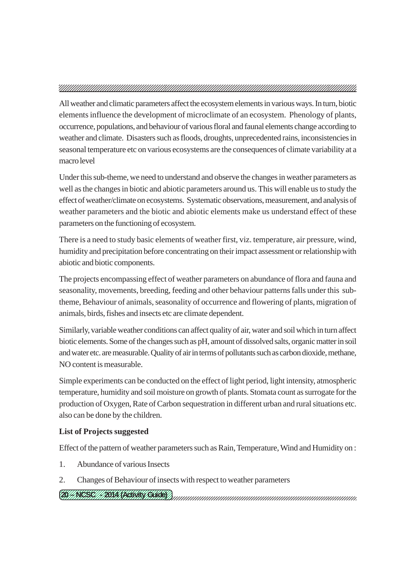All weather and climatic parameters affect the ecosystem elements in various ways. In turn, biotic elements influence the development of microclimate of an ecosystem. Phenology of plants, occurrence, populations, and behaviour of various floral and faunal elements change according to weather and climate. Disasters such as floods, droughts, unprecedented rains, inconsistencies in seasonal temperature etc on various ecosystems are the consequences of climate variability at a macro level

Under this sub-theme, we need to understand and observe the changes in weather parameters as well as the changes in biotic and abiotic parameters around us. This will enable us to study the effect of weather/climate on ecosystems. Systematic observations, measurement, and analysis of weather parameters and the biotic and abiotic elements make us understand effect of these parameters on the functioning of ecosystem.

There is a need to study basic elements of weather first, viz. temperature, air pressure, wind, humidity and precipitation before concentrating on their impact assessment or relationship with abiotic and biotic components.

The projects encompassing effect of weather parameters on abundance of flora and fauna and seasonality, movements, breeding, feeding and other behaviour patterns falls under this subtheme, Behaviour of animals, seasonality of occurrence and flowering of plants, migration of animals, birds, fishes and insects etc are climate dependent.

Similarly, variable weather conditions can affect quality of air, water and soil which in turn affect biotic elements. Some of the changes such as pH, amount of dissolved salts, organic matter in soil and water etc. are measurable. Quality of air in terms of pollutants such as carbon dioxide, methane, NO content is measurable.

Simple experiments can be conducted on the effect of light period, light intensity, atmospheric temperature, humidity and soil moisture on growth of plants. Stomata count as surrogate for the production of Oxygen, Rate of Carbon sequestration in different urban and rural situations etc. also can be done by the children.

#### **List of Projects suggested**

Effect of the pattern of weather parameters such as Rain, Temperature, Wind and Humidity on :

- 1. Abundance of various Insects
- 2. Changes of Behaviour of insects with respect to weather parameters

12345678901234567890123456789012123456789012345678901234567890121234567890123456789 12345678901234567890123456789012123456789012345678901234567890121234567890123456789 <u>(28/4 NGCHA/1481 A NGCHANY (CHICOY)</u>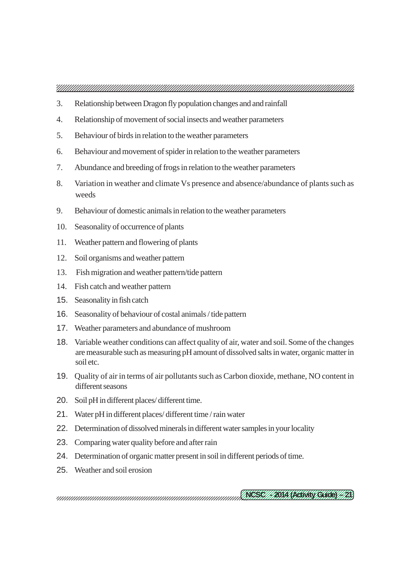- 3. Relationship between Dragon fly population changes and and rainfall
- 4. Relationship of movement of social insects and weather parameters
- 5. Behaviour of birds in relation to the weather parameters
- 6. Behaviour and movement of spider in relation to the weather parameters
- 7. Abundance and breeding of frogs in relation to the weather parameters
- 8. Variation in weather and climate Vs presence and absence/abundance of plants such as weeds
- 9. Behaviour of domestic animals in relation to the weather parameters
- 10. Seasonality of occurrence of plants
- 11. Weather pattern and flowering of plants
- 12. Soil organisms and weather pattern
- 13. Fish migration and weather pattern/tide pattern
- 14. Fish catch and weather pattern
- 15. Seasonality in fish catch
- 16. Seasonality of behaviour of costal animals / tide pattern
- 17. Weather parameters and abundance of mushroom
- 18. Variable weather conditions can affect quality of air, water and soil. Some of the changes are measurable such as measuring pH amount of dissolved salts in water, organic matter in soil etc.
- 19. Quality of air in terms of air pollutants such as Carbon dioxide, methane, NO content in different seasons
- 20. Soil pH in different places/ different time.
- 21. Water pH in different places/ different time / rain water
- 22. Determination of dissolved minerals in different water samples in your locality
- 23. Comparing water quality before and after rain
- 24. Determination of organic matter present in soil in different periods of time.
- 25. Weather and soil erosion

12345678901234567890123456789012123456789012345678901234567890121234567890123456789 12345678901234567890123456789012123456789012345678901234567890121234567890123456789 <u>(KEZE///KKA (KEKAK CARK)//KX</u>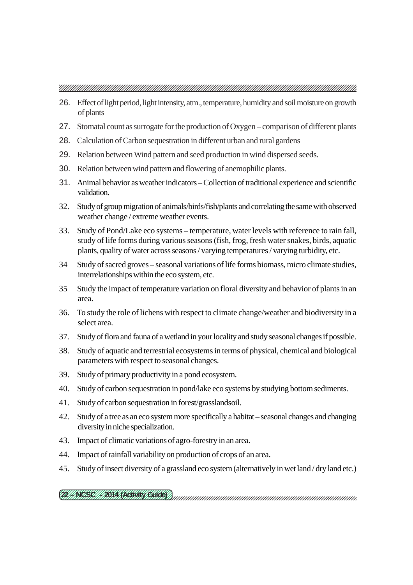- 26. Effect of light period, light intensity, atm., temperature, humidity and soil moisture on growth of plants
- 27. Stomatal count as surrogate for the production of Oxygen comparison of different plants
- 28. Calculation of Carbon sequestration in different urban and rural gardens
- 29. Relation between Wind pattern and seed production in wind dispersed seeds.
- 30. Relation between wind pattern and flowering of anemophilic plants.
- 31. Animal behavior as weather indicators Collection of traditional experience and scientific validation.
- 32. Study of group migration of animals/birds/fish/plants and correlating the same with observed weather change / extreme weather events.
- 33. Study of Pond/Lake eco systems temperature, water levels with reference to rain fall, study of life forms during various seasons (fish, frog, fresh water snakes, birds, aquatic plants, quality of water across seasons / varying temperatures / varying turbidity, etc.
- 34 Study of sacred groves seasonal variations of life forms biomass, micro climate studies, interrelationships within the eco system, etc.
- 35 Study the impact of temperature variation on floral diversity and behavior of plants in an area.
- 36. To study the role of lichens with respect to climate change/weather and biodiversity in a select area.
- 37. Study of flora and fauna of a wetland in your locality and study seasonal changes if possible.
- 38. Study of aquatic and terrestrial ecosystems in terms of physical, chemical and biological parameters with respect to seasonal changes.
- 39. Study of primary productivity in a pond ecosystem.
- 40. Study of carbon sequestration in pond/lake eco systems by studying bottom sediments.
- 41. Study of carbon sequestration in forest/grasslandsoil.
- 42. Study of a tree as an eco system more specifically a habitat seasonal changes and changing diversity in niche specialization.
- 43. Impact of climatic variations of agro-forestry in an area.
- 44. Impact of rainfall variability on production of crops of an area.
- 45. Study of insect diversity of a grassland eco system (alternatively in wet land / dry land etc.)

12345678901234567890123456789012123456789012345678901234567890121234567890123456789 12345678901234567890123456789012123456789012345678901234567890121234567890123456789 <u>(22/7 NGSH7/7 2014 NGC WAN (SWOCK)</u>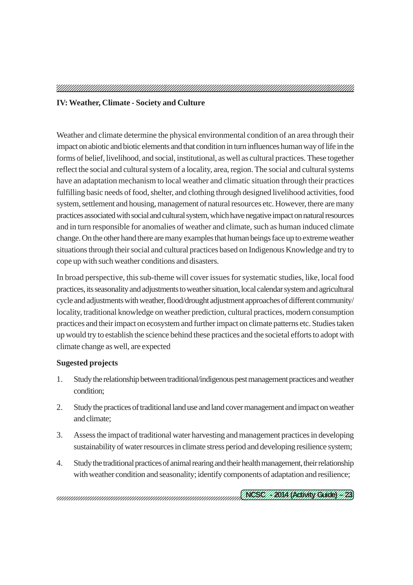#### **IV: Weather, Climate - Society and Culture**

Weather and climate determine the physical environmental condition of an area through their impact on abiotic and biotic elements and that condition in turn influences human way of life in the forms of belief, livelihood, and social, institutional, as well as cultural practices. These together reflect the social and cultural system of a locality, area, region. The social and cultural systems have an adaptation mechanism to local weather and climatic situation through their practices fulfilling basic needs of food, shelter, and clothing through designed livelihood activities, food system, settlement and housing, management of natural resources etc. However, there are many practices associated with social and cultural system, which have negative impact on natural resources and in turn responsible for anomalies of weather and climate, such as human induced climate change. On the other hand there are many examples that human beings face up to extreme weather situations through their social and cultural practices based on Indigenous Knowledge and try to cope up with such weather conditions and disasters.

In broad perspective, this sub-theme will cover issues for systematic studies, like, local food practices, its seasonality and adjustments to weather situation, local calendar system and agricultural cycle and adjustments with weather, flood/drought adjustment approaches of different community/ locality, traditional knowledge on weather prediction, cultural practices, modern consumption practices and their impact on ecosystem and further impact on climate patterns etc. Studies taken up would try to establish the science behind these practices and the societal efforts to adopt with climate change as well, are expected

#### **Sugested projects**

- 1. Study the relationship between traditional/indigenous pest management practices and weather condition;
- 2. Study the practices of traditional land use and land cover management and impact on weather and climate;
- 3. Assess the impact of traditional water harvesting and management practices in developing sustainability of water resources in climate stress period and developing resilience system;
- 4. Study the traditional practices of animal rearing and their health management, their relationship with weather condition and seasonality; identify components of adaptation and resilience;

12345678901234567890123456789012123456789012345678901234567890121234567890123456789 12345678901234567890123456789012123456789012345678901234567890121234567890123456789 <u>(KEZE///KKA (KEKAK CARK)///B</u>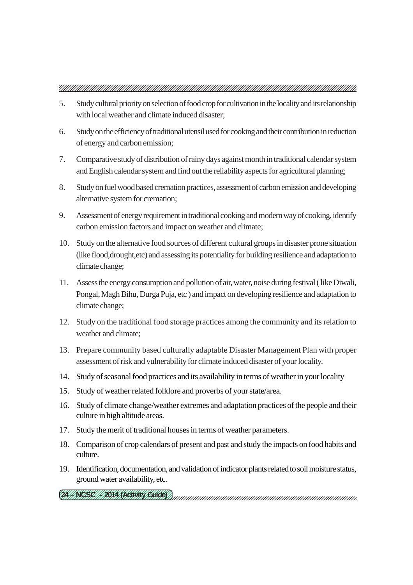- 5. Study cultural priority on selection of food crop for cultivation in the locality and its relationship with local weather and climate induced disaster;
- 6. Study on the efficiency of traditional utensil used for cooking and their contribution in reduction of energy and carbon emission;
- 7. Comparative study of distribution of rainy days against month in traditional calendar system and English calendar system and find out the reliability aspects for agricultural planning;
- 8. Study on fuel wood based cremation practices, assessment of carbon emission and developing alternative system for cremation;
- 9. Assessment of energy requirement in traditional cooking and modern way of cooking, identify carbon emission factors and impact on weather and climate;
- 10. Study on the alternative food sources of different cultural groups in disaster prone situation (like flood,drought,etc) and assessing its potentiality for building resilience and adaptation to climate change;
- 11. Assess the energy consumption and pollution of air, water, noise during festival ( like Diwali, Pongal, Magh Bihu, Durga Puja, etc ) and impact on developing resilience and adaptation to climate change;
- 12. Study on the traditional food storage practices among the community and its relation to weather and climate;
- 13. Prepare community based culturally adaptable Disaster Management Plan with proper assessment of risk and vulnerability for climate induced disaster of your locality.
- 14. Study of seasonal food practices and its availability in terms of weather in your locality
- 15. Study of weather related folklore and proverbs of your state/area.
- 16. Study of climate change/weather extremes and adaptation practices of the people and their culture in high altitude areas.
- 17. Study the merit of traditional houses in terms of weather parameters.
- 18. Comparison of crop calendars of present and past and study the impacts on food habits and culture.
- 19. Identification, documentation, and validation of indicator plants related to soil moisture status, ground water availability, etc.
- 12345678901234567890123456789012123456789012345678901234567890121234567890123456789 12345678901234567890123456789012123456789012345678901234567890121234567890123456789 <u>(IA//NEZE///ISAA/REWWY (ZWOCY)</u>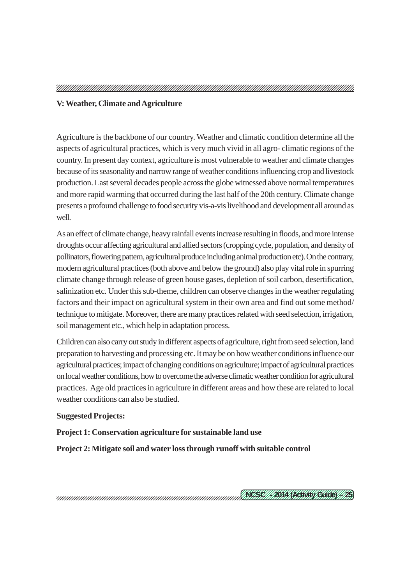#### **V: Weather, Climate and Agriculture**

Agriculture is the backbone of our country. Weather and climatic condition determine all the aspects of agricultural practices, which is very much vivid in all agro- climatic regions of the country. In present day context, agriculture is most vulnerable to weather and climate changes because of its seasonality and narrow range of weather conditions influencing crop and livestock production. Last several decades people across the globe witnessed above normal temperatures and more rapid warming that occurred during the last half of the 20th century. Climate change presents a profound challenge to food security vis-a-vis livelihood and development all around as well.

As an effect of climate change, heavy rainfall events increase resulting in floods, and more intense droughts occur affecting agricultural and allied sectors (cropping cycle, population, and density of pollinators, flowering pattern, agricultural produce including animal production etc). On the contrary, modern agricultural practices (both above and below the ground) also play vital role in spurring climate change through release of green house gases, depletion of soil carbon, desertification, salinization etc. Under this sub-theme, children can observe changes in the weather regulating factors and their impact on agricultural system in their own area and find out some method/ technique to mitigate. Moreover, there are many practices related with seed selection, irrigation, soil management etc., which help in adaptation process.

Children can also carry out study in different aspects of agriculture, right from seed selection, land preparation to harvesting and processing etc. It may be on how weather conditions influence our agricultural practices; impact of changing conditions on agriculture; impact of agricultural practices on local weather conditions, how to overcome the adverse climatic weather condition for agricultural practices. Age old practices in agriculture in different areas and how these are related to local weather conditions can also be studied.

#### **Suggested Projects:**

#### **Project 1: Conservation agriculture for sustainable land use**

**Project 2: Mitigate soil and water loss through runoff with suitable control**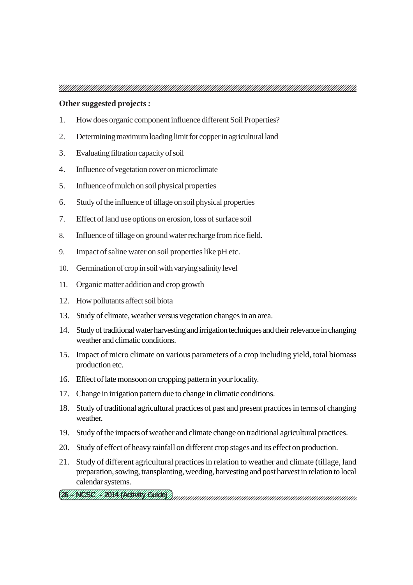#### **Other suggested projects :**

- 1. How does organic component influence different Soil Properties?
- 2. Determining maximum loading limit for copper in agricultural land
- 3. Evaluating filtration capacity of soil
- 4. Influence of vegetation cover on microclimate
- 5. Influence of mulch on soil physical properties
- 6. Study of the influence of tillage on soil physical properties
- 7. Effect of land use options on erosion, loss of surface soil
- 8. Influence of tillage on ground water recharge from rice field.
- 9. Impact of saline water on soil properties like pH etc.
- 10. Germination of crop in soil with varying salinity level
- 11. Organic matter addition and crop growth
- 12. How pollutants affect soil biota
- 13. Study of climate, weather versus vegetation changes in an area.
- 14. Study of traditional water harvesting and irrigation techniques and their relevance in changing weather and climatic conditions.
- 15. Impact of micro climate on various parameters of a crop including yield, total biomass production etc.
- 16. Effect of late monsoon on cropping pattern in your locality.
- 17. Change in irrigation pattern due to change in climatic conditions.
- 18. Study of traditional agricultural practices of past and present practices in terms of changing weather.
- 19. Study of the impacts of weather and climate change on traditional agricultural practices.
- 20. Study of effect of heavy rainfall on different crop stages and its effect on production.
- 21. Study of different agricultural practices in relation to weather and climate (tillage, land preparation, sowing, transplanting, weeding, harvesting and post harvest in relation to local calendar systems.
- 12345678901234567890123456789012123456789012345678901234567890121234567890123456789 12345678901234567890123456789012123456789012345678901234567890121234567890123456789 <u>(UHREKI // KAN SENTRY CHICE) )</u>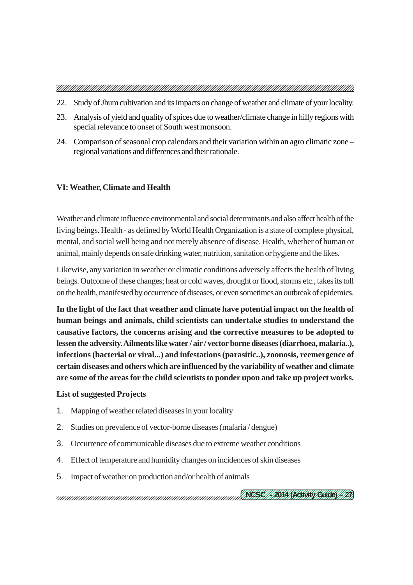- 22. Study of Jhum cultivation and its impacts on change of weather and climate of your locality.
- 23. Analysis of yield and quality of spices due to weather/climate change in hilly regions with special relevance to onset of South west monsoon.
- 24. Comparison of seasonal crop calendars and their variation within an agro climatic zone regional variations and differences and their rationale.

#### **VI: Weather, Climate and Health**

Weather and climate influence environmental and social determinants and also affect health of the living beings. Health - as defined by World Health Organization is a state of complete physical, mental, and social well being and not merely absence of disease. Health, whether of human or animal, mainly depends on safe drinking water, nutrition, sanitation or hygiene and the likes.

Likewise, any variation in weather or climatic conditions adversely affects the health of living beings. Outcome of these changes; heat or cold waves, drought or flood, storms etc., takes its toll on the health, manifested by occurrence of diseases, or even sometimes an outbreak of epidemics.

**In the light of the fact that weather and climate have potential impact on the health of human beings and animals, child scientists can undertake studies to understand the causative factors, the concerns arising and the corrective measures to be adopted to lessen the adversity. Ailments like water / air / vector borne diseases (diarrhoea, malaria..), infections (bacterial or viral...) and infestations (parasitic..), zoonosis, reemergence of certain diseases and others which are influenced by the variability of weather and climate are some of the areas for the child scientists to ponder upon and take up project works.**

#### **List of suggested Projects**

- 1. Mapping of weather related diseases in your locality
- 2. Studies on prevalence of vector-borne diseases (malaria / dengue)
- 3. Occurrence of communicable diseases due to extreme weather conditions
- 4. Effect of temperature and humidity changes on incidences of skin diseases
- 5. Impact of weather on production and/or health of animals

12345678901234567890123456789012123456789012345678901234567890121234567890123456789 12345678901234567890123456789012123456789012345678901234567890121234567890123456789 <u>(KEZE///KKA (KEKAK CARK)//MX</u>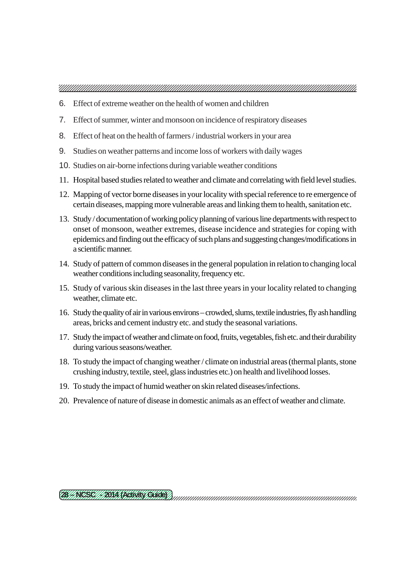- 6. Effect of extreme weather on the health of women and children
- 7. Effect of summer, winter and monsoon on incidence of respiratory diseases
- 8. Effect of heat on the health of farmers / industrial workers in your area
- 9. Studies on weather patterns and income loss of workers with daily wages
- 10. Studies on air-borne infections during variable weather conditions
- 11. Hospital based studies related to weather and climate and correlating with field level studies.
- 12. Mapping of vector borne diseases in your locality with special reference to re emergence of certain diseases, mapping more vulnerable areas and linking them to health, sanitation etc.
- 13. Study / documentation of working policy planning of various line departments with respect to onset of monsoon, weather extremes, disease incidence and strategies for coping with epidemics and finding out the efficacy of such plans and suggesting changes/modifications in a scientific manner.
- 14. Study of pattern of common diseases in the general population in relation to changing local weather conditions including seasonality, frequency etc.
- 15. Study of various skin diseases in the last three years in your locality related to changing weather, climate etc.
- 16. Study the quality of air in various environs crowded, slums, textile industries, fly ash handling areas, bricks and cement industry etc. and study the seasonal variations.
- 17. Study the impact of weather and climate on food, fruits, vegetables, fish etc. and their durability during various seasons/weather.
- 18. To study the impact of changing weather / climate on industrial areas (thermal plants, stone crushing industry, textile, steel, glass industries etc.) on health and livelihood losses.
- 19. To study the impact of humid weather on skin related diseases/infections.
- 20. Prevalence of nature of disease in domestic animals as an effect of weather and climate.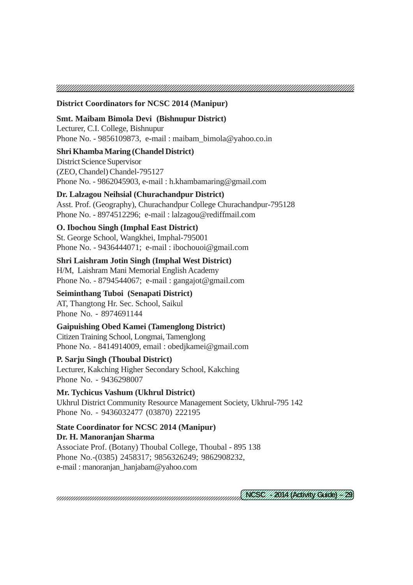#### **District Coordinators for NCSC 2014 (Manipur)**

#### **Smt. Maibam Bimola Devi (Bishnupur District)**

Lecturer, C.I. College, Bishnupur Phone No. - 9856109873, e-mail : maibam bimola@yahoo.co.in

#### **Shri Khamba Maring (Chandel District)**

District Science Supervisor (ZEO, Chandel) Chandel-795127 Phone No. - 9862045903, e-mail : h.khambamaring@gmail.com

#### **Dr. Lalzagou Neihsial (Churachandpur District)**

Asst. Prof. (Geography), Churachandpur College Churachandpur-795128 Phone No. - 8974512296; e-mail : lalzagou@rediffmail.com

#### **O. Ibochou Singh (Imphal East District)**

St. George School, Wangkhei, Imphal-795001 Phone No. - 9436444071; e-mail : ibochouoi@gmail.com

#### **Shri Laishram Jotin Singh (Imphal West District)**

H/M, Laishram Mani Memorial English Academy Phone No. - 8794544067; e-mail : gangajot@gmail.com

#### **Seiminthang Tuboi (Senapati District)**

AT, Thangtong Hr. Sec. School, Saikul Phone No. - 8974691144

#### **Gaipuishing Obed Kamei (Tamenglong District)**

Citizen Training School, Longmai, Tamenglong Phone No. - 8414914009, email : obedjkamei@gmail.com

#### **P. Sarju Singh (Thoubal District)**

Lecturer, Kakching Higher Secondary School, Kakching Phone No. - 9436298007

#### **Mr. Tychicus Vashum (Ukhrul District)** Ukhrul District Community Resource Management Society, Ukhrul-795 142 Phone No. - 9436032477 (03870) 222195

#### **State Coordinator for NCSC 2014 (Manipur) Dr. H. Manoranjan Sharma** Associate Prof. (Botany) Thoubal College, Thoubal - 895 138

Phone No.-(0385) 2458317; 9856326249; 9862908232, e-mail : manoranjan\_hanjabam@yahoo.com

12345678901234567890123456789012123456789012345678901234567890121234567890123456789 12345678901234567890123456789012123456789012345678901234567890121234567890123456789 <u>(KEZE///KKA (KEKAK CARK) / / MX</u>